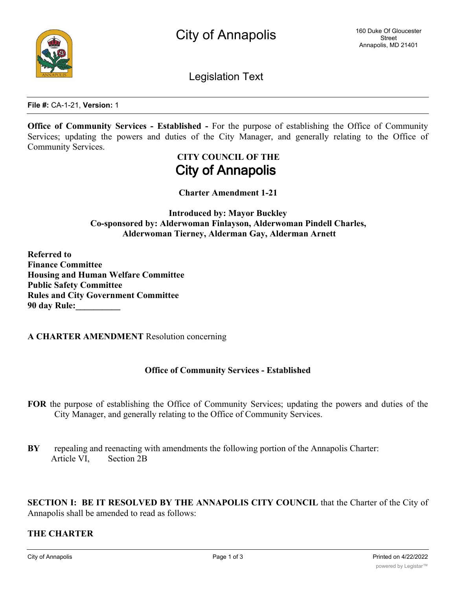

Legislation Text

**File #:** CA-1-21, **Version:** 1

**Office of Community Services - Established -** For the purpose of establishing the Office of Community Services; updating the powers and duties of the City Manager, and generally relating to the Office of Community Services.

> **CITY COUNCIL OF THE City of Annapolis**

**Charter Amendment 1-21**

**Introduced by: Mayor Buckley Co-sponsored by: Alderwoman Finlayson, Alderwoman Pindell Charles, Alderwoman Tierney, Alderman Gay, Alderman Arnett**

**Referred to Finance Committee Housing and Human Welfare Committee Public Safety Committee Rules and City Government Committee 90 day Rule:\_\_\_\_\_\_\_\_\_\_**

**A CHARTER AMENDMENT** Resolution concerning

# **Office of Community Services - Established**

- **FOR** the purpose of establishing the Office of Community Services; updating the powers and duties of the City Manager, and generally relating to the Office of Community Services.
- **BY** repealing and reenacting with amendments the following portion of the Annapolis Charter: Article VI, Section 2B

**SECTION I: BE IT RESOLVED BY THE ANNAPOLIS CITY COUNCIL** that the Charter of the City of Annapolis shall be amended to read as follows:

# **THE CHARTER**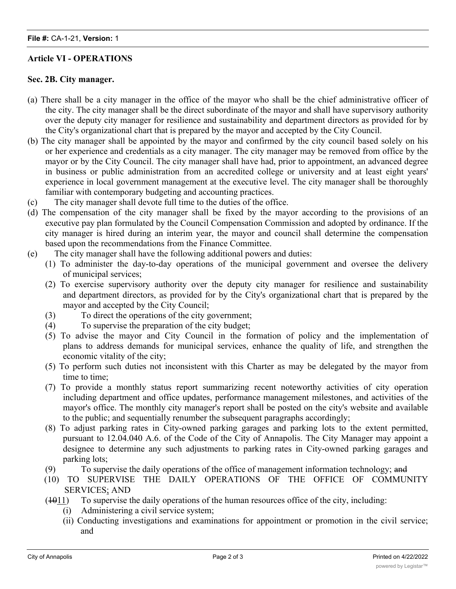# **Article VI - OPERATIONS**

### **Sec. 2B. City manager.**

- (a) There shall be a city manager in the office of the mayor who shall be the chief administrative officer of the city. The city manager shall be the direct subordinate of the mayor and shall have supervisory authority over the deputy city manager for resilience and sustainability and department directors as provided for by the City's organizational chart that is prepared by the mayor and accepted by the City Council.
- (b) The city manager shall be appointed by the mayor and confirmed by the city council based solely on his or her experience and credentials as a city manager. The city manager may be removed from office by the mayor or by the City Council. The city manager shall have had, prior to appointment, an advanced degree in business or public administration from an accredited college or university and at least eight years' experience in local government management at the executive level. The city manager shall be thoroughly familiar with contemporary budgeting and accounting practices.
- (c) The city manager shall devote full time to the duties of the office.
- (d) The compensation of the city manager shall be fixed by the mayor according to the provisions of an executive pay plan formulated by the Council Compensation Commission and adopted by ordinance. If the city manager is hired during an interim year, the mayor and council shall determine the compensation based upon the recommendations from the Finance Committee.
- (e) The city manager shall have the following additional powers and duties:
	- (1) To administer the day-to-day operations of the municipal government and oversee the delivery of municipal services;
	- (2) To exercise supervisory authority over the deputy city manager for resilience and sustainability and department directors, as provided for by the City's organizational chart that is prepared by the mayor and accepted by the City Council;
	- (3) To direct the operations of the city government;
	- (4) To supervise the preparation of the city budget;
	- (5) To advise the mayor and City Council in the formation of policy and the implementation of plans to address demands for municipal services, enhance the quality of life, and strengthen the economic vitality of the city;
	- (5) To perform such duties not inconsistent with this Charter as may be delegated by the mayor from time to time;
	- (7) To provide a monthly status report summarizing recent noteworthy activities of city operation including department and office updates, performance management milestones, and activities of the mayor's office. The monthly city manager's report shall be posted on the city's website and available to the public; and sequentially renumber the subsequent paragraphs accordingly;
	- (8) To adjust parking rates in City-owned parking garages and parking lots to the extent permitted, pursuant to 12.04.040 A.6. of the Code of the City of Annapolis. The City Manager may appoint a designee to determine any such adjustments to parking rates in City-owned parking garages and parking lots;
	- (9) To supervise the daily operations of the office of management information technology; and
	- (10) TO SUPERVISE THE DAILY OPERATIONS OF THE OFFICE OF COMMUNITY SERVICES; AND
	- (1011) To supervise the daily operations of the human resources office of the city, including:
		- (i) Administering a civil service system;
		- (ii) Conducting investigations and examinations for appointment or promotion in the civil service; and